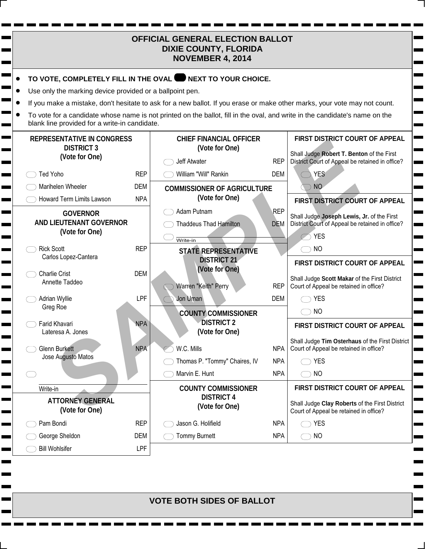| <b>OFFICIAL GENERAL ELECTION BALLOT</b><br><b>DIXIE COUNTY, FLORIDA</b><br><b>NOVEMBER 4, 2014</b> |            |                                                                                                                             |            |                                                                                               |
|----------------------------------------------------------------------------------------------------|------------|-----------------------------------------------------------------------------------------------------------------------------|------------|-----------------------------------------------------------------------------------------------|
|                                                                                                    |            | TO VOTE, COMPLETELY FILL IN THE OVAL WEXT TO YOUR CHOICE.                                                                   |            |                                                                                               |
| Use only the marking device provided or a ballpoint pen.                                           |            |                                                                                                                             |            |                                                                                               |
|                                                                                                    |            | If you make a mistake, don't hesitate to ask for a new ballot. If you erase or make other marks, your vote may not count.   |            |                                                                                               |
| blank line provided for a write-in candidate.                                                      |            | To vote for a candidate whose name is not printed on the ballot, fill in the oval, and write in the candidate's name on the |            |                                                                                               |
| <b>REPRESENTATIVE IN CONGRESS</b><br><b>DISTRICT 3</b>                                             |            | <b>CHIEF FINANCIAL OFFICER</b><br>(Vote for One)                                                                            |            | FIRST DISTRICT COURT OF APPEAL<br>Shall Judge Robert T. Benton of the First                   |
| (Vote for One)                                                                                     |            | Jeff Atwater                                                                                                                | <b>REP</b> | District Court of Appeal be retained in office?                                               |
| <b>Ted Yoho</b>                                                                                    | <b>REP</b> | William "Will" Rankin                                                                                                       | <b>DEM</b> | <b>YES</b>                                                                                    |
| Marihelen Wheeler                                                                                  | <b>DEM</b> | <b>COMMISSIONER OF AGRICULTURE</b>                                                                                          |            | <b>NO</b>                                                                                     |
| Howard Term Limits Lawson                                                                          | <b>NPA</b> | (Vote for One)                                                                                                              |            | FIRST DISTRICT COURT OF APPEAL                                                                |
| <b>GOVERNOR</b>                                                                                    |            | Adam Putnam                                                                                                                 | REP        |                                                                                               |
| <b>AND LIEUTENANT GOVERNOR</b>                                                                     |            | <b>Thaddeus Thad Hamilton</b>                                                                                               | <b>DEM</b> | Shall Judge Joseph Lewis, Jr. of the First<br>District Court of Appeal be retained in office? |
| (Vote for One)                                                                                     |            |                                                                                                                             |            | $\circlearrowright$ YES                                                                       |
| <b>Rick Scott</b>                                                                                  | <b>REP</b> | Write-in<br><b>STATE REPRESENTATIVE</b>                                                                                     |            | <b>NO</b>                                                                                     |
| Carlos Lopez-Cantera                                                                               |            | <b>DISTRICT 21</b>                                                                                                          |            | FIRST DISTRICT COURT OF APPEAL                                                                |
| <b>Charlie Crist</b>                                                                               | <b>DEM</b> | (Vote for One)                                                                                                              |            |                                                                                               |
| Annette Taddeo                                                                                     |            | Warren "Keith" Perry                                                                                                        | <b>REP</b> | Shall Judge Scott Makar of the First District<br>Court of Appeal be retained in office?       |
| Adrian Wyllie                                                                                      | <b>LPF</b> | Jon Uman                                                                                                                    | <b>DEM</b> | <b>YES</b>                                                                                    |
| Greg Roe                                                                                           |            |                                                                                                                             |            | <b>NO</b>                                                                                     |
| Farid Khavari                                                                                      | <b>NPA</b> | <b>COUNTY COMMISSIONER</b><br><b>DISTRICT 2</b>                                                                             |            |                                                                                               |
| Lateresa A. Jones                                                                                  |            | (Vote for One)                                                                                                              |            | FIRST DISTRICT COURT OF APPEAL                                                                |
|                                                                                                    |            |                                                                                                                             |            | Shall Judge Tim Osterhaus of the First District                                               |
| <b>Glenn Burkett</b><br>Jose Augusto Matos                                                         | <b>NPA</b> | W.C. Mills                                                                                                                  | <b>NPA</b> | Court of Appeal be retained in office?                                                        |
|                                                                                                    |            | Thomas P. "Tommy" Chaires, IV                                                                                               | <b>NPA</b> | <b>YES</b>                                                                                    |
|                                                                                                    |            | Marvin E. Hunt                                                                                                              | <b>NPA</b> | <b>NO</b>                                                                                     |
| Write-in                                                                                           |            | <b>COUNTY COMMISSIONER</b>                                                                                                  |            | FIRST DISTRICT COURT OF APPEAL                                                                |
| <b>ATTORNEY GENERAL</b><br>(Vote for One)                                                          |            | <b>DISTRICT 4</b><br>(Vote for One)                                                                                         |            | Shall Judge Clay Roberts of the First District<br>Court of Appeal be retained in office?      |
| Pam Bondi                                                                                          | <b>REP</b> | Jason G. Holifield                                                                                                          | <b>NPA</b> | <b>YES</b>                                                                                    |
| George Sheldon                                                                                     | DEM        | <b>Tommy Burnett</b>                                                                                                        | <b>NPA</b> | <b>NO</b>                                                                                     |
| <b>Bill Wohlsifer</b>                                                                              | <b>LPF</b> |                                                                                                                             |            |                                                                                               |

Г Г

Е

 $\overline{\phantom{a}}$ 

**VOTE BOTH SIDES OF BALLOT**

 $\blacksquare$ 

**The State**